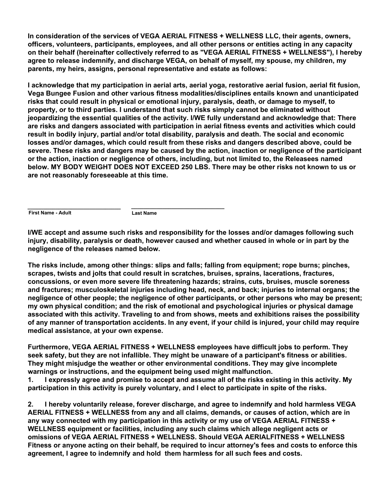**In consideration of the services of VEGA AERIAL FITNESS + WELLNESS LLC, their agents, owners, officers, volunteers, participants, employees, and all other persons or entities acting in any capacity on their behalf (hereinafter collectively referred to as "VEGA AERIAL FITNESS + WELLNESS"), I hereby agree to release indemnify, and discharge VEGA, on behalf of myself, my spouse, my children, my parents, my heirs, assigns, personal representative and estate as follows:**

**I acknowledge that my participation in aerial arts, aerial yoga, restorative aerial fusion, aerial fit fusion, Vega Bungee Fusion and other various fitness modalities/disciplines entails known and unanticipated risks that could result in physical or emotional injury, paralysis, death, or damage to myself, to property, or to third parties. I understand that such risks simply cannot be eliminated without jeopardizing the essential qualities of the activity. I/WE fully understand and acknowledge that: There are risks and dangers associated with participation in aerial fitness events and activities which could result in bodily injury, partial and/or total disability, paralysis and death. The social and economic losses and/or damages, which could result from these risks and dangers described above, could be severe. These risks and dangers may be caused by the action, inaction or negligence of the participant or the action, inaction or negligence of others, including, but not limited to, the Releasees named below. MY BODY WEIGHT DOES NOT EXCEED 250 LBS. There may be other risks not known to us or are not reasonably foreseeable at this time.**

**First Name - Adult Last Name \_\_\_\_\_\_\_\_\_\_\_\_\_\_\_\_\_\_\_\_\_\_\_\_\_\_\_\_\_\_ \_\_\_\_\_\_\_\_\_\_\_\_\_\_\_\_\_\_\_\_\_\_\_\_\_\_\_\_\_\_**

**I/WE accept and assume such risks and responsibility for the losses and/or damages following such injury, disability, paralysis or death, however caused and whether caused in whole or in part by the negligence of the releases named below.**

**The risks include, among other things: slips and falls; falling from equipment; rope burns; pinches, scrapes, twists and jolts that could result in scratches, bruises, sprains, lacerations, fractures, concussions, or even more severe life threatening hazards; strains, cuts, bruises, muscle soreness and fractures; musculoskeletal injuries including head, neck, and back; injuries to internal organs; the negligence of other people; the negligence of other participants, or other persons who may be present; my own physical condition; and the risk of emotional and psychological injuries or physical damage associated with this activity. Traveling to and from shows, meets and exhibitions raises the possibility of any manner of transportation accidents. In any event, if your child is injured, your child may require medical assistance, at your own expense.**

**Furthermore, VEGA AERIAL FITNESS + WELLNESS employees have difficult jobs to perform. They seek safety, but they are not infallible. They might be unaware of a participant's fitness or abilities. They might misjudge the weather or other environmental conditions. They may give incomplete warnings or instructions, and the equipment being used might malfunction.**

**1. I expressly agree and promise to accept and assume all of the risks existing in this activity. My participation in this activity is purely voluntary, and I elect to participate in spite of the risks.**

**2. I hereby voluntarily release, forever discharge, and agree to indemnify and hold harmless VEGA AERIAL FITNESS + WELLNESS from any and all claims, demands, or causes of action, which are in any way connected with my participation in this activity or my use of VEGA AERIAL FITNESS + WELLNESS equipment or facilities, including any such claims which allege negligent acts or omissions of VEGA AERIAL FITNESS + WELLNESS. Should VEGA AERIALFITNESS + WELLNESS Fitness or anyone acting on their behalf, be required to incur attorney's fees and costs to enforce this agreement, I agree to indemnify and hold them harmless for all such fees and costs.**